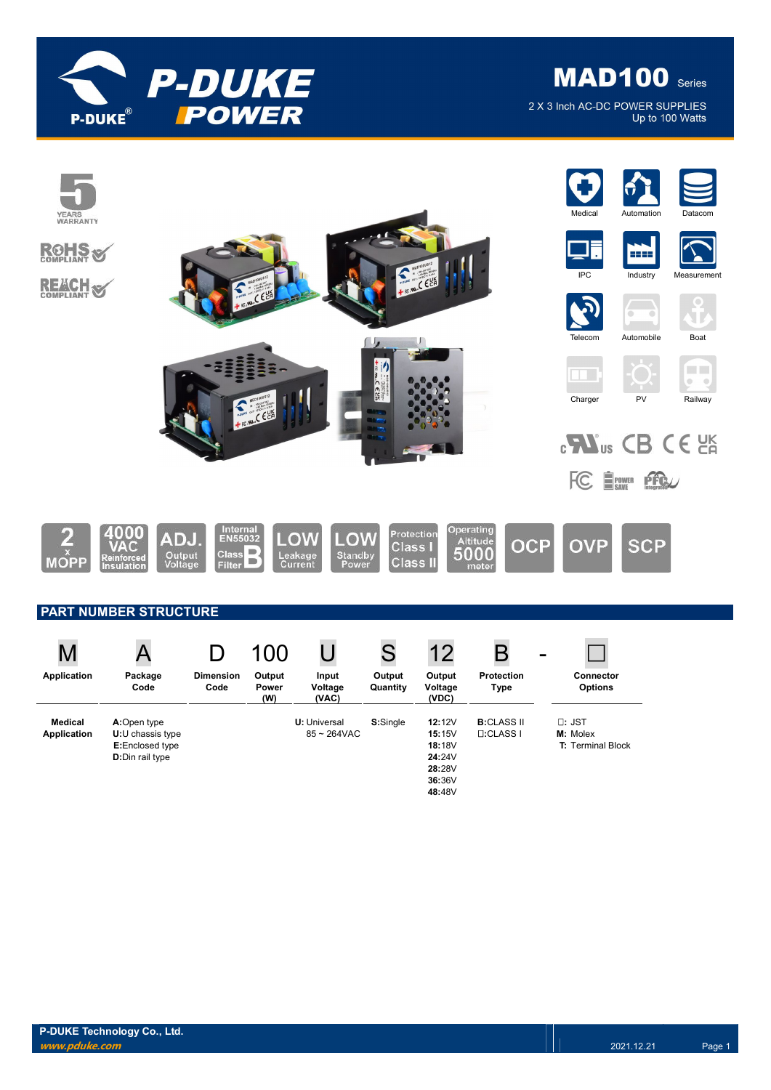

# **MAD100** Series

2 X 3 Inch AC-DC POWER SUPPLIES Up to 100 Watts

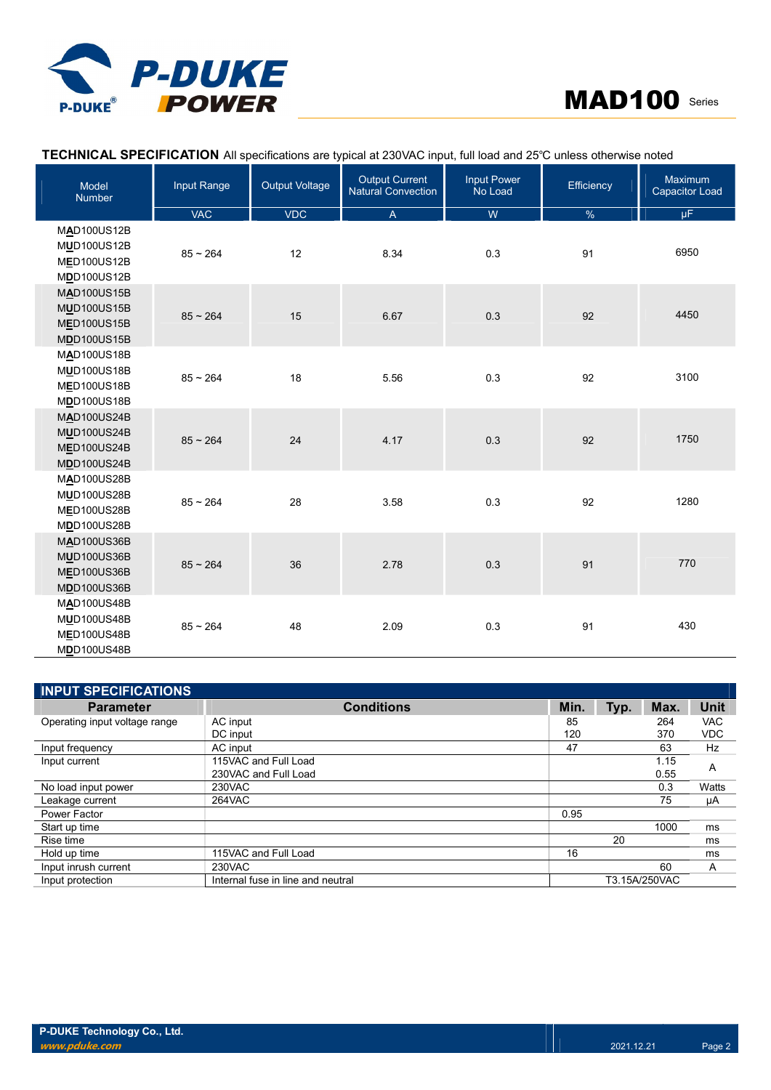

## MAD100 Series

## TECHNICAL SPECIFICATION All specifications are typical at 230VAC input, full load and 25℃ unless otherwise noted

| Model<br><b>Number</b>                                                               | Input Range | <b>Output Voltage</b> | <b>Output Current</b><br><b>Natural Convection</b> | <b>Input Power</b><br>No Load | <b>Efficiency</b> | Maximum<br>Capacitor Load |
|--------------------------------------------------------------------------------------|-------------|-----------------------|----------------------------------------------------|-------------------------------|-------------------|---------------------------|
|                                                                                      | <b>VAC</b>  | <b>VDC</b>            | $\mathsf{A}$                                       | W                             | $\frac{0}{6}$     | $\mu$ F                   |
| MAD100US12B<br>MUD100US12B<br>MED100US12B<br>MDD100US12B                             | $85 - 264$  | 12                    | 8.34                                               | 0.3                           | 91                | 6950                      |
| <b>MAD100US15B</b><br><b>MUD100US15B</b><br><b>MED100US15B</b><br><b>MDD100US15B</b> | $85 - 264$  | 15                    | 6.67                                               | 0.3                           | 92                | 4450                      |
| <b>MAD100US18B</b><br><b>MUD100US18B</b><br><b>MED100US18B</b><br><b>MDD100US18B</b> | $85 - 264$  | 18                    | 5.56                                               | 0.3                           | 92                | 3100                      |
| <b>MAD100US24B</b><br><b>MUD100US24B</b><br><b>MED100US24B</b><br><b>MDD100US24B</b> | $85 - 264$  | 24                    | 4.17                                               | 0.3                           | 92                | 1750                      |
| <b>MAD100US28B</b><br><b>MUD100US28B</b><br><b>MED100US28B</b><br><b>MDD100US28B</b> | $85 - 264$  | 28                    | 3.58                                               | 0.3                           | 92                | 1280                      |
| MAD100US36B<br><b>MUD100US36B</b><br>MED100US36B<br><b>MDD100US36B</b>               | $85 - 264$  | 36                    | 2.78                                               | 0.3                           | 91                | 770                       |
| <b>MAD100US48B</b><br><b>MUD100US48B</b><br><b>MED100US48B</b><br><b>MDD100US48B</b> | $85 - 264$  | 48                    | 2.09                                               | 0.3                           | 91                | 430                       |

| <b>INPUT SPECIFICATIONS</b>   |                                   |      |               |      |            |
|-------------------------------|-----------------------------------|------|---------------|------|------------|
| <b>Parameter</b>              | <b>Conditions</b>                 | Min. | Typ.          | Max. | Unit       |
| Operating input voltage range | AC input                          | 85   |               | 264  | <b>VAC</b> |
|                               | DC input                          | 120  |               | 370  | <b>VDC</b> |
| Input frequency               | AC input                          | 47   |               | 63   | Hz         |
| Input current                 | 115VAC and Full Load              |      |               | 1.15 | A          |
|                               | 230VAC and Full Load              |      |               | 0.55 |            |
| No load input power           | 230VAC                            |      |               | 0.3  | Watts      |
| Leakage current               | 264VAC                            |      |               | 75   | μA         |
| Power Factor                  |                                   | 0.95 |               |      |            |
| Start up time                 |                                   |      |               | 1000 | ms         |
| Rise time                     |                                   |      | 20            |      | ms         |
| Hold up time                  | 115VAC and Full Load              | 16   |               |      | ms         |
| Input inrush current          | 230VAC                            |      |               | 60   | A          |
| Input protection              | Internal fuse in line and neutral |      | T3.15A/250VAC |      |            |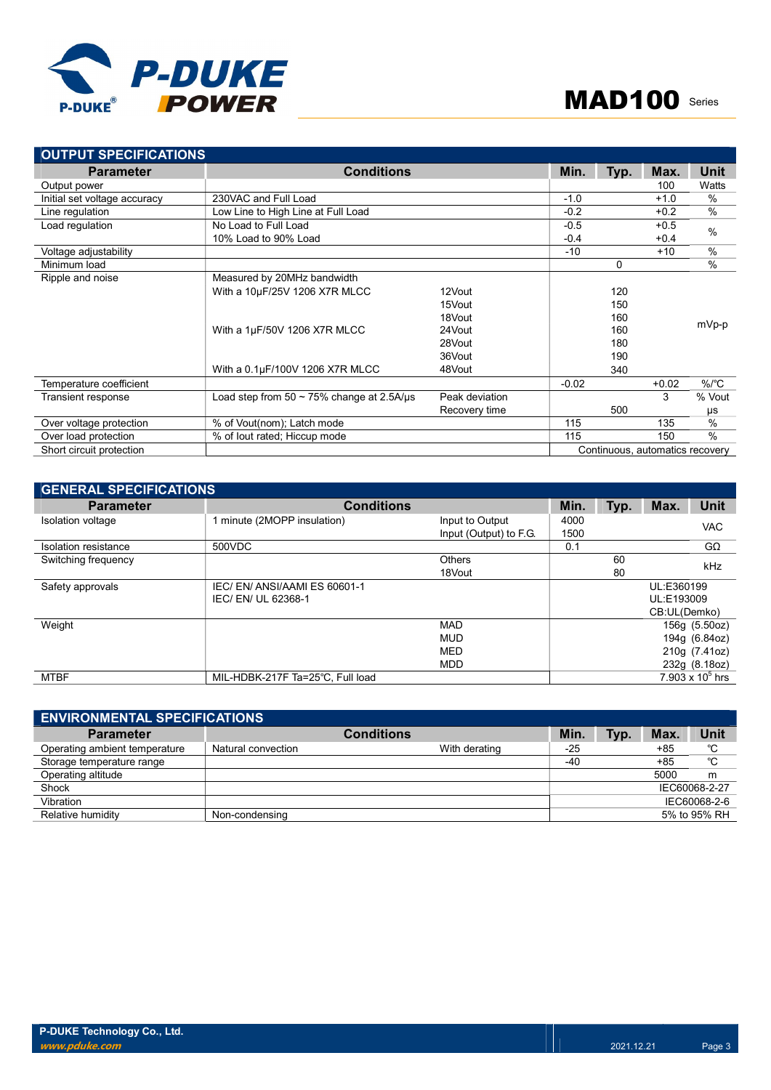

| <b>OUTPUT SPECIFICATIONS</b> |                                                 |                |         |      |                                 |               |
|------------------------------|-------------------------------------------------|----------------|---------|------|---------------------------------|---------------|
| <b>Parameter</b>             | <b>Conditions</b>                               |                | Min.    | Typ. | Max.                            | Unit          |
| Output power                 |                                                 |                |         |      | 100                             | Watts         |
| Initial set voltage accuracy | 230VAC and Full Load                            |                | $-1.0$  |      | $+1.0$                          | %             |
| Line regulation              | Low Line to High Line at Full Load              |                | $-0.2$  |      | $+0.2$                          | $\frac{0}{0}$ |
| Load regulation              | No Load to Full Load                            |                | $-0.5$  |      | $+0.5$                          | $\%$          |
|                              | 10% Load to 90% Load                            |                | $-0.4$  |      | $+0.4$                          |               |
| Voltage adjustability        |                                                 |                | $-10$   |      | $+10$                           | $\frac{0}{0}$ |
| Minimum load                 |                                                 |                |         | 0    |                                 | $\%$          |
| Ripple and noise             | Measured by 20MHz bandwidth                     |                |         |      |                                 |               |
|                              | With a 10µF/25V 1206 X7R MLCC                   | 12Vout         |         | 120  |                                 |               |
|                              |                                                 | 15Vout         |         | 150  |                                 |               |
|                              |                                                 | 18Vout         |         | 160  |                                 |               |
|                              | With a 1µF/50V 1206 X7R MLCC                    | 24Vout         |         | 160  |                                 | mVp-p         |
|                              |                                                 | 28Vout         |         | 180  |                                 |               |
|                              |                                                 | 36Vout         |         | 190  |                                 |               |
|                              | With a 0.1µF/100V 1206 X7R MLCC                 | 48Vout         |         | 340  |                                 |               |
| Temperature coefficient      |                                                 |                | $-0.02$ |      | $+0.02$                         | $\%$ /°C      |
| <b>Transient response</b>    | Load step from $50 \sim 75\%$ change at 2.5A/us | Peak deviation |         |      | 3                               | % Vout        |
|                              |                                                 | Recovery time  |         | 500  |                                 | μs            |
| Over voltage protection      | % of Vout(nom); Latch mode                      |                | 115     |      | 135                             | $\frac{0}{0}$ |
| Over load protection         | % of lout rated; Hiccup mode                    |                | 115     |      | 150                             | $\frac{0}{0}$ |
| Short circuit protection     |                                                 |                |         |      | Continuous, automatics recovery |               |

| <b>GENERAL SPECIFICATIONS</b> |                                  |                        |      |      |              |                    |
|-------------------------------|----------------------------------|------------------------|------|------|--------------|--------------------|
| <b>Parameter</b>              | <b>Conditions</b>                |                        | Min. | Typ. | Max.         | <b>Unit</b>        |
| Isolation voltage             | 1 minute (2MOPP insulation)      | Input to Output        | 4000 |      |              | <b>VAC</b>         |
|                               |                                  | Input (Output) to F.G. | 1500 |      |              |                    |
| Isolation resistance          | 500VDC                           |                        | 0.1  |      |              | $G\Omega$          |
| Switching frequency           |                                  | Others                 |      | 60   |              | kHz                |
|                               |                                  | 18Vout                 |      | 80   |              |                    |
| Safety approvals              | IEC/EN/ANSI/AAMIES 60601-1       |                        |      |      | UL:E360199   |                    |
|                               | IEC/ EN/ UL 62368-1              |                        |      |      | UL:E193009   |                    |
|                               |                                  |                        |      |      | CB:UL(Demko) |                    |
| Weight                        |                                  | <b>MAD</b>             |      |      |              | 156g (5.50oz)      |
|                               |                                  | <b>MUD</b>             |      |      |              | 194g (6.84oz)      |
|                               |                                  | <b>MED</b>             |      |      |              | 210g (7.41oz)      |
|                               |                                  | <b>MDD</b>             |      |      |              | 232g (8.18oz)      |
| <b>MTBF</b>                   | MIL-HDBK-217F Ta=25°C. Full load |                        |      |      |              | 7.903 x $10^5$ hrs |

| <b>ENVIRONMENTAL SPECIFICATIONS</b> |                    |                   |       |      |       |               |  |
|-------------------------------------|--------------------|-------------------|-------|------|-------|---------------|--|
| <b>Parameter</b>                    |                    | <b>Conditions</b> | Min.  | Typ. | Max.  | <b>Unit</b>   |  |
| Operating ambient temperature       | Natural convection | With derating     | $-25$ |      | $+85$ | °C            |  |
| Storage temperature range           |                    |                   | $-40$ |      | +85   | °C            |  |
| Operating altitude                  |                    |                   |       |      | 5000  | m             |  |
| Shock                               |                    |                   |       |      |       | IEC60068-2-27 |  |
| Vibration                           |                    |                   |       |      |       | IEC60068-2-6  |  |
| Relative humidity                   | Non-condensing     |                   |       |      |       | 5% to 95% RH  |  |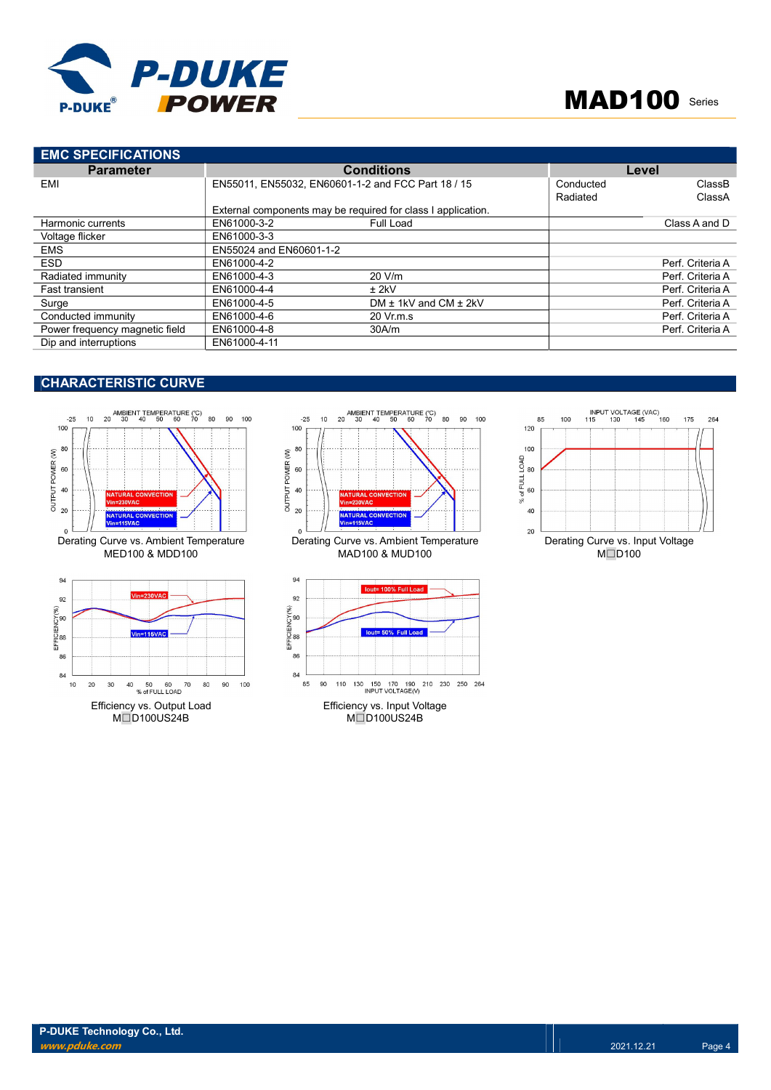

| <b>EMC SPECIFICATIONS</b>      |                         |                                                              |           |                  |
|--------------------------------|-------------------------|--------------------------------------------------------------|-----------|------------------|
| <b>Parameter</b>               |                         | <b>Conditions</b>                                            | Level     |                  |
| EMI                            |                         | EN55011, EN55032, EN60601-1-2 and FCC Part 18 / 15           | Conducted | ClassB           |
|                                |                         |                                                              | Radiated  | ClassA           |
|                                |                         | External components may be required for class I application. |           |                  |
| Harmonic currents              | EN61000-3-2             | Full Load                                                    |           | Class A and D    |
| Voltage flicker                | EN61000-3-3             |                                                              |           |                  |
| <b>EMS</b>                     | EN55024 and EN60601-1-2 |                                                              |           |                  |
| <b>ESD</b>                     | EN61000-4-2             |                                                              |           | Perf. Criteria A |
| Radiated immunity              | EN61000-4-3             | 20 V/m                                                       |           | Perf. Criteria A |
| <b>Fast transient</b>          | EN61000-4-4             | $±$ 2kV                                                      |           | Perf. Criteria A |
| Surge                          | EN61000-4-5             | DM $\pm$ 1kV and CM $\pm$ 2kV                                |           | Perf. Criteria A |
| Conducted immunity             | EN61000-4-6             | 20 Vr.m.s                                                    |           | Perf. Criteria A |
| Power frequency magnetic field | EN61000-4-8             | 30A/m                                                        |           | Perf. Criteria A |
| Dip and interruptions          | EN61000-4-11            |                                                              |           |                  |

## CHARACTERISTIC CURVE









M□D100US24B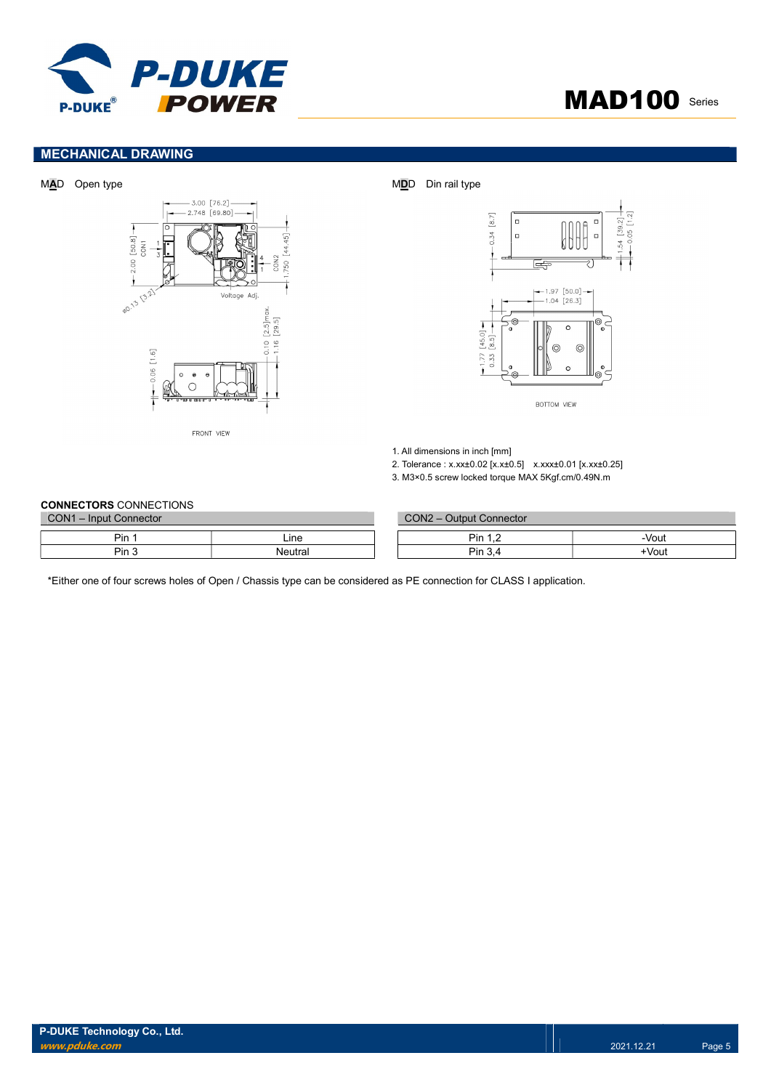

## MAD100 Series

## MECHANICAL DRAWING





BOTTOM VIEW

1. All dimensions in inch [mm]

2. Tolerance : x.xx±0.02 [x.x±0.5] x.xxx±0.01 [x.xx±0.25]

3. M3×0.5 screw locked torque MAX 5Kgf.cm/0.49N.m

#### CONNECTORS CONNECTIONS

| CON <sub>1</sub><br>1 - Input Connector |         |  | $CON2 -$<br><b>Output Connector</b> |       |
|-----------------------------------------|---------|--|-------------------------------------|-------|
| Pin                                     | ∟ine    |  | Pin                                 | -Vout |
| Pin 5                                   | Neutra. |  | Pin<br>$\sim$<br>. ت                | +Vout |

\*Either one of four screws holes of Open / Chassis type can be considered as PE connection for CLASS I application.